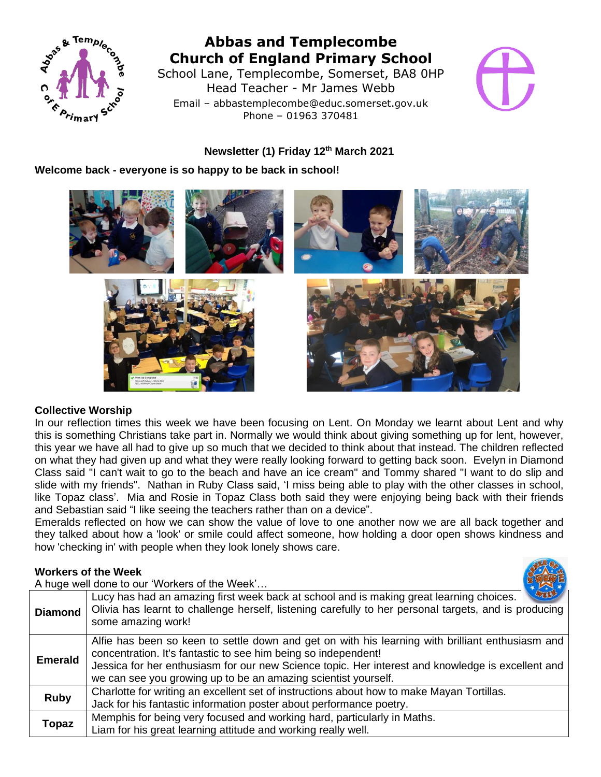

# **Abbas and Templecombe Church of England Primary School**

School Lane, Templecombe, Somerset, BA8 0HP Head Teacher - Mr James Webb Email – abbastemplecombe@educ.somerset.gov.uk Phone – 01963 370481



## **Newsletter (1) Friday 12 th March 2021**

## **Welcome back - everyone is so happy to be back in school!**



#### **Collective Worship**

In our reflection times this week we have been focusing on Lent. On Monday we learnt about Lent and why this is something Christians take part in. Normally we would think about giving something up for lent, however, this year we have all had to give up so much that we decided to think about that instead. The children reflected on what they had given up and what they were really looking forward to getting back soon. Evelyn in Diamond Class said "I can't wait to go to the beach and have an ice cream" and Tommy shared "I want to do slip and slide with my friends". Nathan in Ruby Class said, 'I miss being able to play with the other classes in school, like Topaz class'. Mia and Rosie in Topaz Class both said they were enjoying being back with their friends and Sebastian said "I like seeing the teachers rather than on a device".

Emeralds reflected on how we can show the value of love to one another now we are all back together and they talked about how a 'look' or smile could affect someone, how holding a door open shows kindness and how 'checking in' with people when they look lonely shows care.

## **Workers of the Week**

A huge well done to our 'Workers of the Week'…



| <b>Diamond</b> | <b>LAND</b><br>Lucy has had an amazing first week back at school and is making great learning choices.<br>Olivia has learnt to challenge herself, listening carefully to her personal targets, and is producing<br>some amazing work!                                                                                                     |
|----------------|-------------------------------------------------------------------------------------------------------------------------------------------------------------------------------------------------------------------------------------------------------------------------------------------------------------------------------------------|
| <b>Emerald</b> | Alfie has been so keen to settle down and get on with his learning with brilliant enthusiasm and<br>concentration. It's fantastic to see him being so independent!<br>Jessica for her enthusiasm for our new Science topic. Her interest and knowledge is excellent and<br>we can see you growing up to be an amazing scientist yourself. |
| <b>Ruby</b>    | Charlotte for writing an excellent set of instructions about how to make Mayan Tortillas.<br>Jack for his fantastic information poster about performance poetry.                                                                                                                                                                          |
| <b>Topaz</b>   | Memphis for being very focused and working hard, particularly in Maths.<br>Liam for his great learning attitude and working really well.                                                                                                                                                                                                  |